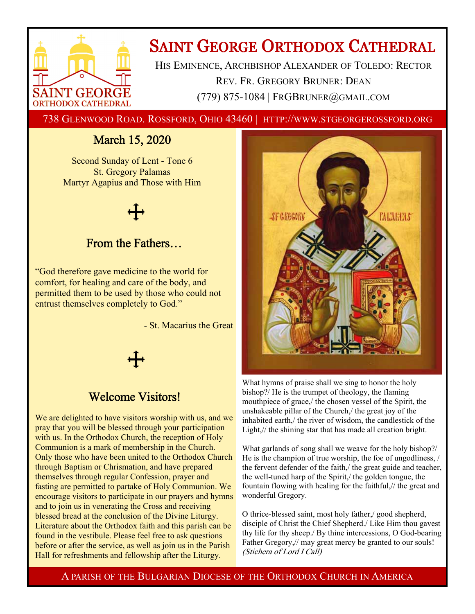

# **SAINT GEORGE ORTHODOX CATHEDRAL**

HIS EMINENCE, ARCHBISHOP ALEXANDER OF TOLEDO: RECTOR REV. FR. GREGORY BRUNER: DEAN (779) 875-1084 | FRGBRUNER@GMAIL.COM

738 GLENWOOD ROAD. ROSSFORD, OHIO 43460 | HTTP://WWW.STGEORGEROSSFORD.ORG

## March 15, 2020

Second Sunday of Lent - Tone 6 St. Gregory Palamas Martyr Agapius and Those with Him

### From the Fathers…

"God therefore gave medicine to the world for comfort, for healing and care of the body, and permitted them to be used by those who could not entrust themselves completely to God."

- St. Macarius the Great



### Welcome Visitors!

We are delighted to have visitors worship with us, and we pray that you will be blessed through your participation with us. In the Orthodox Church, the reception of Holy Communion is a mark of membership in the Church. Only those who have been united to the Orthodox Church through Baptism or Chrismation, and have prepared themselves through regular Confession, prayer and fasting are permitted to partake of Holy Communion. We encourage visitors to participate in our prayers and hymns and to join us in venerating the Cross and receiving blessed bread at the conclusion of the Divine Liturgy. Literature about the Orthodox faith and this parish can be found in the vestibule. Please feel free to ask questions before or after the service, as well as join us in the Parish Hall for refreshments and fellowship after the Liturgy.



What hymns of praise shall we sing to honor the holy bishop?/ He is the trumpet of theology, the flaming mouthpiece of grace,/ the chosen vessel of the Spirit, the unshakeable pillar of the Church,/ the great joy of the inhabited earth,/ the river of wisdom, the candlestick of the Light,// the shining star that has made all creation bright.

What garlands of song shall we weave for the holy bishop?/ He is the champion of true worship, the foe of ungodliness, / the fervent defender of the faith,/ the great guide and teacher, the well-tuned harp of the Spirit,/ the golden tongue, the fountain flowing with healing for the faithful,// the great and wonderful Gregory.

O thrice-blessed saint, most holy father,/ good shepherd, disciple of Christ the Chief Shepherd./ Like Him thou gavest thy life for thy sheep./ By thine intercessions, O God-bearing Father Gregory,// may great mercy be granted to our souls! (Stichera of Lord I Call)

A PARISH OF THE BULGARIAN DIOCESE OF THE ORTHODOX CHURCH IN AMERICA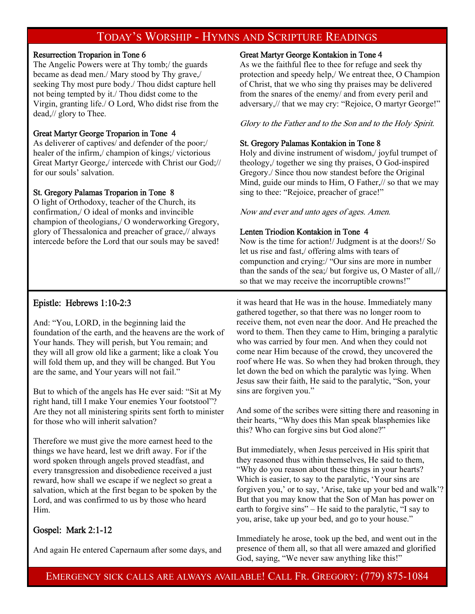### TODAY'S WORSHIP - HYMNS AND SCRIPTURE READINGS

#### Resurrection Troparion in Tone 6

The Angelic Powers were at Thy tomb;/ the guards became as dead men./ Mary stood by Thy grave,/ seeking Thy most pure body./ Thou didst capture hell not being tempted by it./ Thou didst come to the Virgin, granting life./ O Lord, Who didst rise from the dead,// glory to Thee.

#### Great Martyr George Troparion in Tone 4

As deliverer of captives/ and defender of the poor;/ healer of the infirm,/ champion of kings;/ victorious Great Martyr George,/ intercede with Christ our God;// for our souls' salvation.

#### St. Gregory Palamas Troparion in Tone 8

O light of Orthodoxy, teacher of the Church, its confirmation,/ O ideal of monks and invincible champion of theologians,/ O wonderworking Gregory, glory of Thessalonica and preacher of grace,// always intercede before the Lord that our souls may be saved!

#### Great Martyr George Kontakion in Tone 4

As we the faithful flee to thee for refuge and seek thy protection and speedy help,/ We entreat thee, O Champion of Christ, that we who sing thy praises may be delivered from the snares of the enemy/ and from every peril and adversary,// that we may cry: "Rejoice, O martyr George!"

#### Glory to the Father and to the Son and to the Holy Spirit.

#### St. Gregory Palamas Kontakion in Tone 8

Holy and divine instrument of wisdom,/ joyful trumpet of theology,/ together we sing thy praises, O God-inspired Gregory./ Since thou now standest before the Original Mind, guide our minds to Him, O Father,// so that we may sing to thee: "Rejoice, preacher of grace!"

Now and ever and unto ages of ages. Amen.

#### Lenten Triodion Kontakion in Tone 4

Now is the time for action!/ Judgment is at the doors!/ So let us rise and fast,/ offering alms with tears of compunction and crying:/ "Our sins are more in number than the sands of the sea;/ but forgive us, O Master of all,// so that we may receive the incorruptible crowns!"

#### Epistle: Hebrews 1:10-2:3

And: "You, LORD, in the beginning laid the foundation of the earth, and the heavens are the work of Your hands. They will perish, but You remain; and they will all grow old like a garment; like a cloak You will fold them up, and they will be changed. But You are the same, and Your years will not fail."

But to which of the angels has He ever said: "Sit at My right hand, till I make Your enemies Your footstool"? Are they not all ministering spirits sent forth to minister for those who will inherit salvation?

Therefore we must give the more earnest heed to the things we have heard, lest we drift away. For if the word spoken through angels proved steadfast, and every transgression and disobedience received a just reward, how shall we escape if we neglect so great a salvation, which at the first began to be spoken by the Lord, and was confirmed to us by those who heard Him.

#### Gospel: Mark 2:1-12

And again He entered Capernaum after some days, and

it was heard that He was in the house. Immediately many gathered together, so that there was no longer room to receive them, not even near the door. And He preached the word to them. Then they came to Him, bringing a paralytic who was carried by four men. And when they could not come near Him because of the crowd, they uncovered the roof where He was. So when they had broken through, they let down the bed on which the paralytic was lying. When Jesus saw their faith, He said to the paralytic, "Son, your sins are forgiven you."

And some of the scribes were sitting there and reasoning in their hearts, "Why does this Man speak blasphemies like this? Who can forgive sins but God alone?"

But immediately, when Jesus perceived in His spirit that they reasoned thus within themselves, He said to them, "Why do you reason about these things in your hearts? Which is easier, to say to the paralytic, 'Your sins are forgiven you,' or to say, 'Arise, take up your bed and walk'? But that you may know that the Son of Man has power on earth to forgive sins" – He said to the paralytic, "I say to you, arise, take up your bed, and go to your house."

Immediately he arose, took up the bed, and went out in the presence of them all, so that all were amazed and glorified God, saying, "We never saw anything like this!"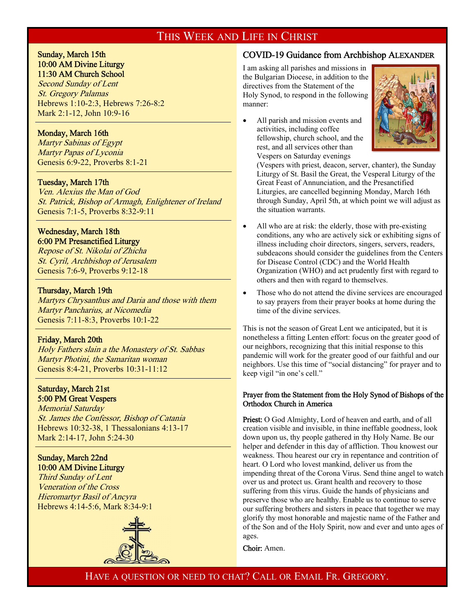### THIS WEEK AND LIFE IN CHRIST

#### Sunday, March 15th 10:00 AM Divine Liturgy 11:30 AM Church School

Second Sunday of Lent St. Gregory Palamas Hebrews 1:10-2:3, Hebrews 7:26-8:2 Mark 2:1-12, John 10:9-16

#### Monday, March 16th

 $\overline{1}$ 

 $\overline{a}$ 

 $\overline{a}$ 

 $\overline{a}$ 

Martyr Sabinas of Egypt Martyr Papas of Lyconia Genesis 6:9-22, Proverbs 8:1-21

#### Tuesday, March 17th

Ven. Alexius the Man of God St. Patrick, Bishop of Armagh, Enlightener of Ireland Genesis 7:1-5, Proverbs 8:32-9:11

#### Wednesday, March 18th 6:00 PM Presanctified Liturgy

Repose of St. Nikolai of Zhicha St. Cyril, Archbishop of Jerusalem Genesis 7:6-9, Proverbs 9:12-18

#### Thursday, March 19th

Martyrs Chrysanthus and Daria and those with them Martyr Pancharius, at Nicomedia Genesis 7:11-8:3, Proverbs 10:1-22

#### Friday, March 20th

Holy Fathers slain a the Monastery of St. Sabbas Martyr Photini, the Samaritan woman Genesis 8:4-21, Proverbs 10:31-11:12

#### Saturday, March 21st 5:00 PM Great Vespers

Memorial Saturday St. James the Confessor, Bishop of Catania Hebrews 10:32-38, 1 Thessalonians 4:13-17 Mark 2:14-17, John 5:24-30

#### Sunday, March 22nd 10:00 AM Divine Liturgy

Third Sunday of Lent Veneration of the Cross Hieromartyr Basil of Ancyra Hebrews 4:14-5:6, Mark 8:34-9:1



#### COVID-19 Guidance from Archbishop ALEXANDER

I am asking all parishes and missions in the Bulgarian Diocese, in addition to the directives from the Statement of the Holy Synod, to respond in the following manner:

 All parish and mission events and activities, including coffee fellowship, church school, and the rest, and all services other than Vespers on Saturday evenings



(Vespers with priest, deacon, server, chanter), the Sunday Liturgy of St. Basil the Great, the Vesperal Liturgy of the Great Feast of Annunciation, and the Presanctified Liturgies, are cancelled beginning Monday, March 16th through Sunday, April 5th, at which point we will adjust as the situation warrants.

- All who are at risk: the elderly, those with pre-existing conditions, any who are actively sick or exhibiting signs of illness including choir directors, singers, servers, readers, subdeacons should consider the guidelines from the Centers for Disease Control (CDC) and the World Health Organization (WHO) and act prudently first with regard to others and then with regard to themselves.
- Those who do not attend the divine services are encouraged to say prayers from their prayer books at home during the time of the divine services.

This is not the season of Great Lent we anticipated, but it is nonetheless a fitting Lenten effort: focus on the greater good of our neighbors, recognizing that this initial response to this pandemic will work for the greater good of our faithful and our neighbors. Use this time of "social distancing" for prayer and to keep vigil "in one's cell."

#### Prayer from the Statement from the Holy Synod of Bishops of the Orthodox Church in America

Priest: O God Almighty, Lord of heaven and earth, and of all creation visible and invisible, in thine ineffable goodness, look down upon us, thy people gathered in thy Holy Name. Be our helper and defender in this day of affliction. Thou knowest our weakness. Thou hearest our cry in repentance and contrition of heart. O Lord who lovest mankind, deliver us from the impending threat of the Corona Virus. Send thine angel to watch over us and protect us. Grant health and recovery to those suffering from this virus. Guide the hands of physicians and preserve those who are healthy. Enable us to continue to serve our suffering brothers and sisters in peace that together we may glorify thy most honorable and majestic name of the Father and of the Son and of the Holy Spirit, now and ever and unto ages of ages.

Choir: Amen.

HAVE A QUESTION OR NEED TO CHAT? CALL OR EMAIL FR. GREGORY.